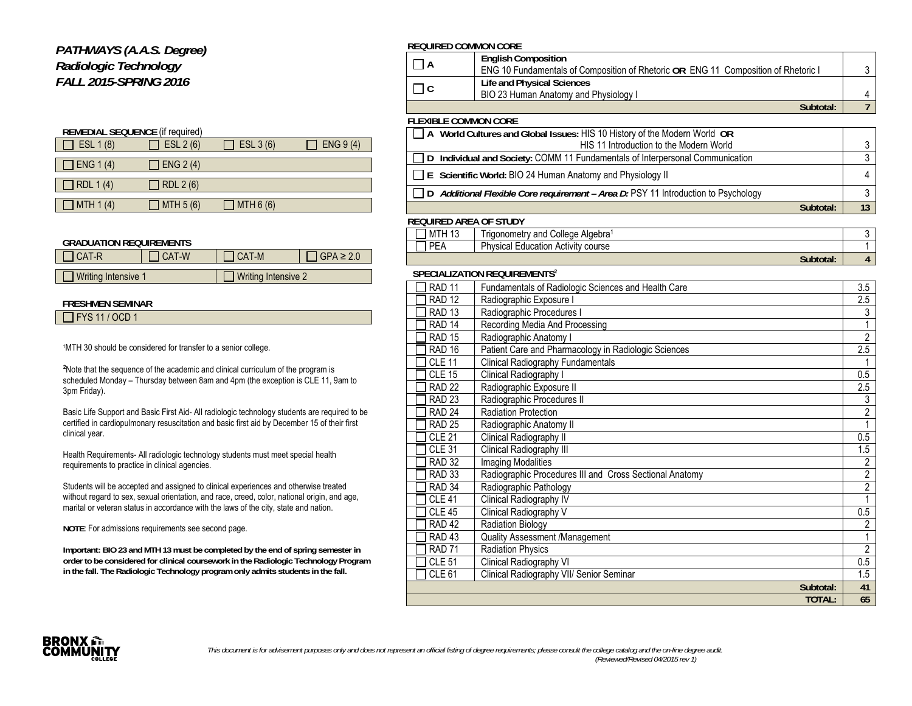## *PATHWAYS (A.A.S. Degree) Radiologic Technology FALL 2015-SPRING 2016*

| <b>REMEDIAL SEQUENCE (if required)</b> |            |            |           |  |  |  |
|----------------------------------------|------------|------------|-----------|--|--|--|
| ESL 1 (8)                              | ESL $2(6)$ | ESL 3 (6)  | ENG 9 (4) |  |  |  |
|                                        |            |            |           |  |  |  |
| ENG 1 (4)                              | ENG 2(4)   |            |           |  |  |  |
|                                        |            |            |           |  |  |  |
| RDL 1(4)                               | RDL 2 (6)  |            |           |  |  |  |
|                                        |            |            |           |  |  |  |
| MTH $1(4)$                             | MTH $5(6)$ | MTH $6(6)$ |           |  |  |  |

#### **GRADUATION REQUIREMENTS**

| $\Box$ CAT-R               | I CAT-W | 1 CAT-M                    | $GPA \geq 2.0$ |
|----------------------------|---------|----------------------------|----------------|
|                            |         |                            |                |
| $\Box$ Writing Intensive 1 |         | $\Box$ Writing Intensive 2 |                |

### **FRESHMEN SEMINAR**

|--|

1MTH 30 should be considered for transfer to a senior college.

²Note that the sequence of the academic and clinical curriculum of the program is scheduled Monday – Thursday between 8am and 4pm (the exception is CLE 11, 9am to 3pm Friday).

Basic Life Support and Basic First Aid- All radiologic technology students are required to be certified in cardiopulmonary resuscitation and basic first aid by December 15 of their first clinical year.

Health Requirements- All radiologic technology students must meet special health requirements to practice in clinical agencies.

Students will be accepted and assigned to clinical experiences and otherwise treated without regard to sex, sexual orientation, and race, creed, color, national origin, and age, marital or veteran status in accordance with the laws of the city, state and nation.

**NOTE**: For admissions requirements see second page.

**Important: BIO 23 and MTH 13 must be completed by the end of spring semester in order to be considered for clinical coursework in the Radiologic Technology Program in the fall. The Radiologic Technology program only admits students in the fall.** 

#### **REQUIRED COMMON CORE**

|                             | <b>English Composition</b>                                                                |  |
|-----------------------------|-------------------------------------------------------------------------------------------|--|
|                             | <b>ENG 10 Fundamentals of Composition of Rhetoric OR ENG 11 Composition of Rhetoric I</b> |  |
|                             | Life and Physical Sciences                                                                |  |
|                             | BIO 23 Human Anatomy and Physiology I                                                     |  |
|                             | Subtotal:                                                                                 |  |
| <b>ELEVIBLE COMMON CODE</b> |                                                                                           |  |

#### **FLEXIBLE COMMON CORE**

| A World Cultures and Global Issues: HIS 10 History of the Modern World OR                 |  |
|-------------------------------------------------------------------------------------------|--|
| HIS 11 Introduction to the Modern World                                                   |  |
| Individual and Society: COMM 11 Fundamentals of Interpersonal Communication<br>$\Box$     |  |
| $\Box$ E Scientific World: BIO 24 Human Anatomy and Physiology II                         |  |
| $\Box$ D Additional Flexible Core requirement – Area D: PSY 11 Introduction to Psychology |  |
| Subtotal:                                                                                 |  |
| REQUIRED AREA OF STUDY                                                                    |  |

#### $\Box$  MTH 13 Trigonometry and College Algebra<sup>1</sup> 3 **PEA** Physical Education Activity course 1 1 **Subtotal: 4**

#### **SPECIALIZATION REQUIREMENTS**²

| <b>RAD 11</b>     | Fundamentals of Radiologic Sciences and Health Care     | 3.5              |
|-------------------|---------------------------------------------------------|------------------|
| <b>RAD 12</b>     | Radiographic Exposure I                                 | 2.5              |
| <b>RAD 13</b>     | Radiographic Procedures I                               | 3                |
| RAD <sub>14</sub> | Recording Media And Processing                          |                  |
| <b>RAD 15</b>     | Radiographic Anatomy I                                  | $\overline{2}$   |
| <b>RAD 16</b>     | Patient Care and Pharmacology in Radiologic Sciences    | 2.5              |
| <b>CLE 11</b>     | Clinical Radiography Fundamentals                       |                  |
| <b>CLE 15</b>     | Clinical Radiography I                                  | 0.5              |
| <b>RAD 22</b>     | Radiographic Exposure II                                | $2.5\,$          |
| <b>RAD 23</b>     | Radiographic Procedures II                              | 3                |
| RAD <sub>24</sub> | <b>Radiation Protection</b>                             | $\overline{2}$   |
| <b>RAD 25</b>     | Radiographic Anatomy II                                 |                  |
| <b>CLE 21</b>     | Clinical Radiography II                                 | 0.5              |
| <b>CLE 31</b>     | Clinical Radiography III                                | 1.5              |
| <b>RAD 32</b>     | <b>Imaging Modalities</b>                               | $\overline{2}$   |
| <b>RAD 33</b>     | Radiographic Procedures III and Cross Sectional Anatomy | $\overline{2}$   |
| RAD <sub>34</sub> | Radiographic Pathology                                  | $\overline{2}$   |
| <b>CLE 41</b>     | Clinical Radiography IV                                 | 1                |
| <b>CLE 45</b>     | Clinical Radiography V                                  | 0.5              |
| RAD <sub>42</sub> | <b>Radiation Biology</b>                                | $\overline{2}$   |
| RAD <sub>43</sub> | Quality Assessment /Management                          |                  |
| <b>RAD 71</b>     | Radiation Physics                                       | $\overline{2}$   |
| <b>CLE 51</b>     | Clinical Radiography VI                                 | $\overline{0.5}$ |
| <b>CLE 61</b>     | Clinical Radiography VII/ Senior Seminar                | $\overline{1.5}$ |
|                   | Subtotal:                                               | 41               |
|                   | <b>TOTAL:</b>                                           | 65               |